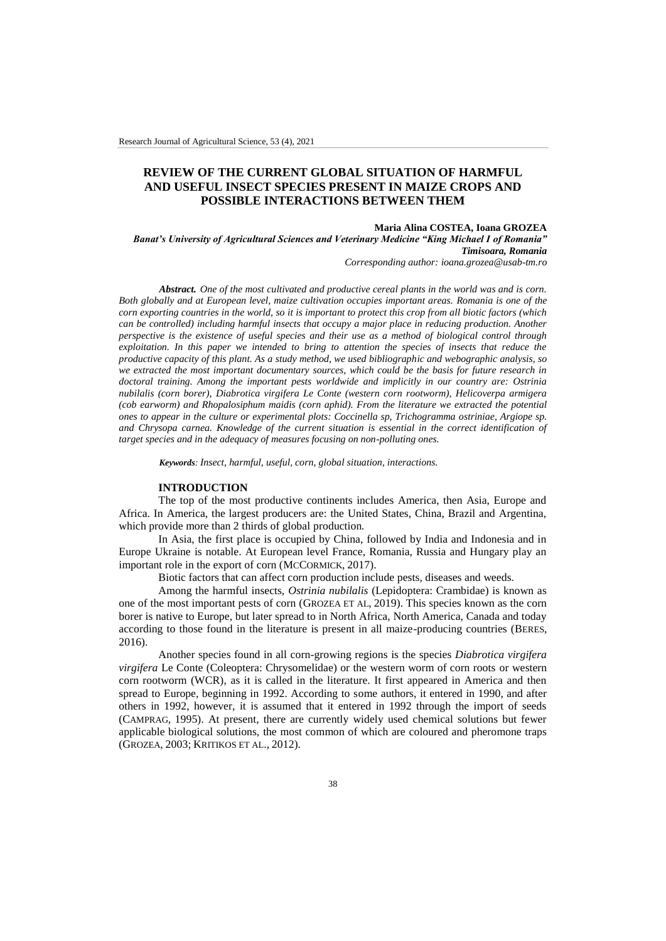# **REVIEW OF THE CURRENT GLOBAL SITUATION OF HARMFUL AND USEFUL INSECT SPECIES PRESENT IN MAIZE CROPS AND POSSIBLE INTERACTIONS BETWEEN THEM**

### **Maria Alina COSTEA, Ioana GROZEA**

*Banat's University of Agricultural Sciences and Veterinary Medicine "King Michael I of Romania" Timisoara, Romania*

*Corresponding author: ioana.grozea@usab-tm.ro*

*Abstract. One of the most cultivated and productive cereal plants in the world was and is corn. Both globally and at European level, maize cultivation occupies important areas. Romania is one of the corn exporting countries in the world, so it is important to protect this crop from all biotic factors (which can be controlled) including harmful insects that occupy a major place in reducing production. Another perspective is the existence of useful species and their use as a method of biological control through exploitation. In this paper we intended to bring to attention the species of insects that reduce the productive capacity of this plant. As a study method, we used bibliographic and webographic analysis, so we extracted the most important documentary sources, which could be the basis for future research in doctoral training. Among the important pests worldwide and implicitly in our country are: Ostrinia nubilalis (corn borer), Diabrotica virgifera Le Conte (western corn rootworm), Helicoverpa armigera (cob earworm) and Rhopalosiphum maidis (corn aphid). From the literature we extracted the potential ones to appear in the culture or experimental plots: Coccinella sp, Trichogramma ostriniae, Argiope sp. and Chrysopa carnea. Knowledge of the current situation is essential in the correct identification of target species and in the adequacy of measures focusing on non-polluting ones.*

*Keywords: Insect, harmful, useful, corn, global situation, interactions.*

### **INTRODUCTION**

The top of the most productive continents includes America, then Asia, Europe and Africa. In America, the largest producers are: the United States, China, Brazil and Argentina, which provide more than 2 thirds of global production*.*

In Asia, the first place is occupied by China, followed by India and Indonesia and in Europe Ukraine is notable. At European level France, Romania, Russia and Hungary play an important role in the export of corn (MCCORMICK, 2017).

Biotic factors that can affect corn production include pests, diseases and weeds.

Among the harmful insects, *Ostrinia nubilalis* (Lepidoptera: Crambidae) is known as one of the most important pests of corn (GROZEA ET AL, 2019). This species known as the corn borer is native to Europe, but later spread to in North Africa, North America, Canada and today according to those found in the literature is present in all maize-producing countries (BERES, 2016).

Another species found in all corn-growing regions is the species *Diabrotica virgifera virgifera* Le Conte (Coleoptera: Chrysomelidae) or the western worm of corn roots or western corn rootworm (WCR), as it is called in the literature. It first appeared in America and then spread to Europe, beginning in 1992. According to some authors, it entered in 1990, and after others in 1992, however, it is assumed that it entered in 1992 through the import of seeds (CAMPRAG, 1995). At present, there are currently widely used chemical solutions but fewer applicable biological solutions, the most common of which are coloured and pheromone traps (GROZEA, 2003; KRITIKOS ET AL., 2012).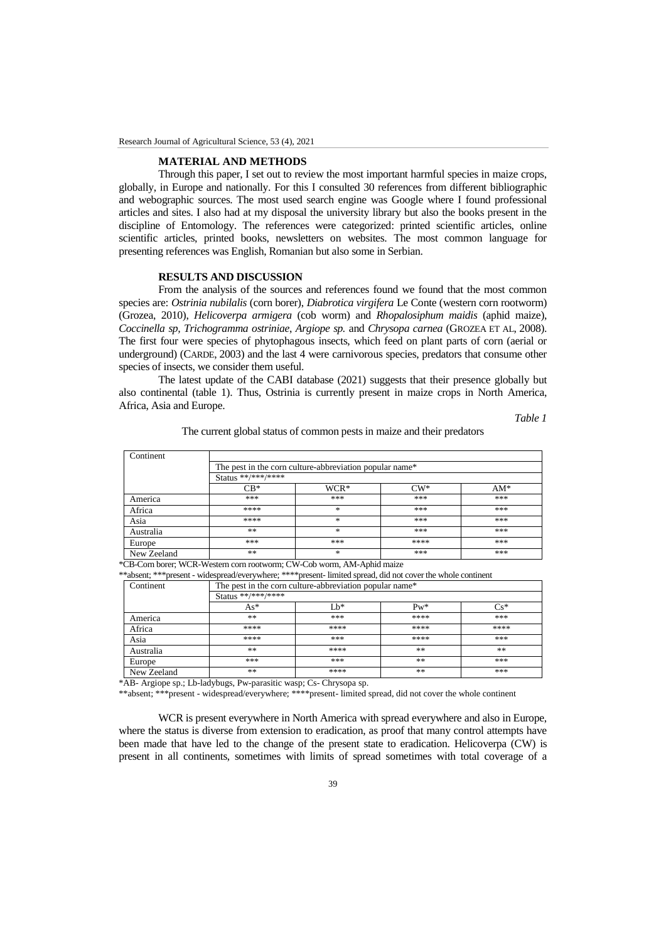#### **MATERIAL AND METHODS**

Through this paper, I set out to review the most important harmful species in maize crops, globally, in Europe and nationally. For this I consulted 30 references from different bibliographic and webographic sources. The most used search engine was Google where I found professional articles and sites. I also had at my disposal the university library but also the books present in the discipline of Entomology. The references were categorized: printed scientific articles, online scientific articles, printed books, newsletters on websites. The most common language for presenting references was English, Romanian but also some in Serbian.

#### **RESULTS AND DISCUSSION**

From the analysis of the sources and references found we found that the most common species are: Ostrinia nubilalis (corn borer), Diabrotica virgifera Le Conte (western corn rootworm) (Grozea, 2010), Helicoverpa armigera (cob worm) and Rhopalosiphum maidis (aphid maize), Coccinella sp, Trichogramma ostriniae, Argiope sp. and Chrysopa carnea (GROZEA ET AL, 2008). The first four were species of phytophagous insects, which feed on plant parts of corn (aerial or underground) (CARDE, 2003) and the last 4 were carnivorous species, predators that consume other species of insects, we consider them useful.

The latest update of the CABI database (2021) suggests that their presence globally but also continental (table 1). Thus, Ostrinia is currently present in maize crops in North America, Africa, Asia and Europe.

Table 1

| Continent   |                                                                                           |                  |      |     |     |
|-------------|-------------------------------------------------------------------------------------------|------------------|------|-----|-----|
|             | The pest in the corn culture-abbreviation popular name <sup>*</sup><br>Status **/***/**** |                  |      |     |     |
|             |                                                                                           |                  |      |     |     |
|             | America                                                                                   | ***              | ***  | *** | *** |
| Africa      | ****                                                                                      | $\ast$           | ***  | *** |     |
| Asia        | ****                                                                                      | $*$              | ***  | *** |     |
| Australia   | **                                                                                        | $\frac{1}{2\pi}$ | ***  | *** |     |
| Europe      | ***                                                                                       | ***              | **** | *** |     |
| New Zeeland | **                                                                                        | $\ast$           | ***  | *** |     |

## The current global status of common pests in maize and their predators

\*CB-Corn borer; WCR-Western corn rootworm; CW-Cob worm, AM-Aphid maize

\*\*absent; \*\*\*present - widespread/everywhere; \*\*\*\*present- limited spread, did not cover the whole continent

| Continent   | The pest in the corn culture-abbreviation popular name*<br>Status **/***/**** |      |      |      |     |
|-------------|-------------------------------------------------------------------------------|------|------|------|-----|
|             |                                                                               |      |      |      |     |
|             | America                                                                       | **   | ***  | **** | *** |
| Africa      | ****                                                                          | **** | **** | **** |     |
| Asia        | ****                                                                          | ***  | **** | ***  |     |
| Australia   | **                                                                            | **** | **   | **   |     |
| Europe      | ***                                                                           | ***  | **   | ***  |     |
| New Zeeland | **                                                                            | **** | **   | ***  |     |

\*AB- Argiope sp.; Lb-ladybugs, Pw-parasitic wasp; Cs- Chrysopa sp.

\*\*absent; \*\*\*present - widespread/everywhere; \*\*\*\*present-limited spread, did not cover the whole continent

WCR is present everywhere in North America with spread everywhere and also in Europe, where the status is diverse from extension to eradication, as proof that many control attempts have been made that have led to the change of the present state to eradication. Helicoverpa (CW) is present in all continents, sometimes with limits of spread sometimes with total coverage of a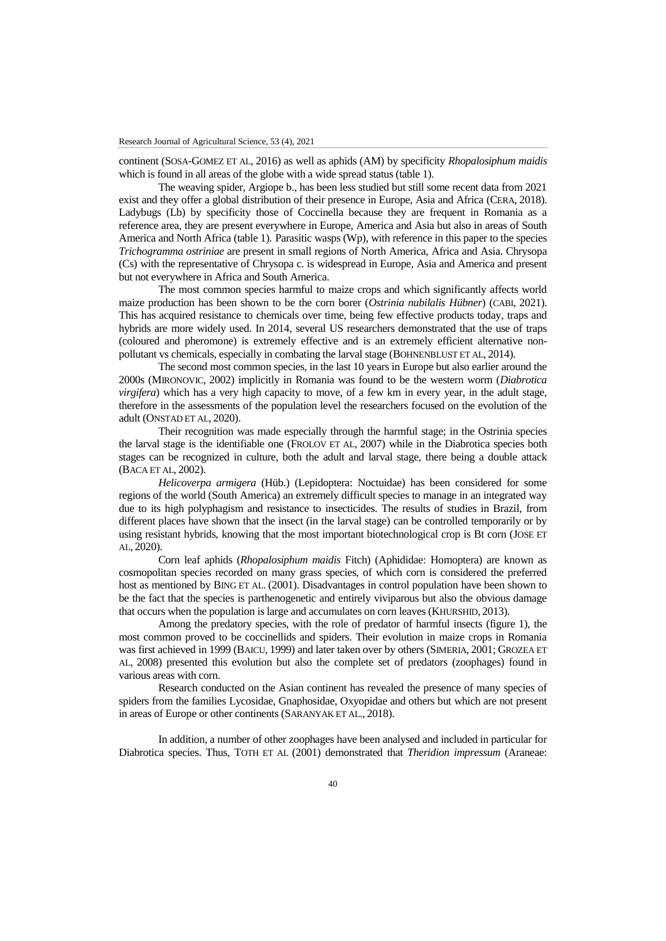continent (SOSA-GOMEZ ET AL, 2016) as well as aphids (AM) by specificity *Rhopalosiphum maidis* which is found in all areas of the globe with a wide spread status (table 1).

The weaving spider, Argiope b., has been less studied but still some recent data from 2021 exist and they offer a global distribution of their presence in Europe, Asia and Africa (CERA, 2018). Ladybugs (Lb) by specificity those of Coccinella because they are frequent in Romania as a reference area, they are present everywhere in Europe, America and Asia but also in areas of South America and North Africa (table 1). Parasitic wasps (Wp), with reference in this paper to the species *Trichogramma ostriniae* are present in small regions of North America, Africa and Asia. Chrysopa (Cs) with the representative of Chrysopa c. is widespread in Europe, Asia and America and present but not everywhere in Africa and South America.

The most common species harmful to maize crops and which significantly affects world maize production has been shown to be the corn borer (*Ostrinia nubilalis Hübner*) (CABI, 2021). This has acquired resistance to chemicals over time, being few effective products today, traps and hybrids are more widely used. In 2014, several US researchers demonstrated that the use of traps (coloured and pheromone) is extremely effective and is an extremely efficient alternative nonpollutant vs chemicals, especially in combating the larval stage (BOHNENBLUST ET AL, 2014).

The second most common species, in the last 10 years in Europe but also earlier around the 2000s (MIRONOVIC, 2002) implicitly in Romania was found to be the western worm (*Diabrotica virgifera*) which has a very high capacity to move, of a few km in every year, in the adult stage, therefore in the assessments of the population level the researchers focused on the evolution of the adult (ONSTAD ET AL, 2020).

Their recognition was made especially through the harmful stage; in the Ostrinia species the larval stage is the identifiable one (FROLOV ET AL, 2007) while in the Diabrotica species both stages can be recognized in culture, both the adult and larval stage, there being a double attack (BACA ET AL, 2002).

*Helicoverpa armigera* (Hüb.) (Lepidoptera: Noctuidae) has been considered for some regions of the world (South America) an extremely difficult species to manage in an integrated way due to its high polyphagism and resistance to insecticides. The results of studies in Brazil, from different places have shown that the insect (in the larval stage) can be controlled temporarily or by using resistant hybrids, knowing that the most important biotechnological crop is Bt corn (JOSE ET AL, 2020).

Corn leaf aphids (*Rhopalosiphum maidis* Fitch) (Aphididae: Homoptera) are known as cosmopolitan species recorded on many grass species, of which corn is considered the preferred host as mentioned by BING ET AL. (2001). Disadvantages in control population have been shown to be the fact that the species is parthenogenetic and entirely viviparous but also the obvious damage that occurs when the population is large and accumulates on corn leaves (KHURSHID, 2013).

Among the predatory species, with the role of predator of harmful insects (figure 1), the most common proved to be coccinellids and spiders. Their evolution in maize crops in Romania was first achieved in 1999 (BAICU, 1999) and later taken over by others (SIMERIA, 2001; GROZEA ET AL, 2008) presented this evolution but also the complete set of predators (zoophages) found in various areas with corn.

Research conducted on the Asian continent has revealed the presence of many species of spiders from the families Lycosidae, Gnaphosidae, Oxyopidae and others but which are not present in areas of Europe or other continents (SARANYAK ET AL., 2018).

In addition, a number of other zoophages have been analysed and included in particular for Diabrotica species. Thus, TOTH ET AL (2001) demonstrated that *Theridion impressum* (Araneae: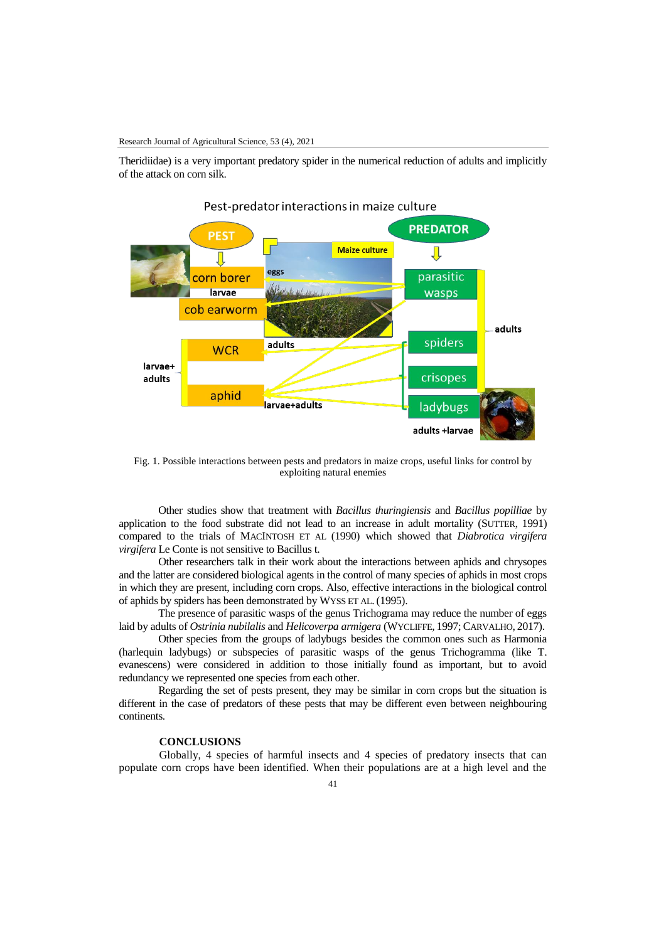Theridiidae) is a very important predatory spider in the numerical reduction of adults and implicitly of the attack on corn silk.



# Pest-predator interactions in maize culture

Fig. 1. Possible interactions between pests and predators in maize crops, useful links for control by exploiting natural enemies

Other studies show that treatment with *Bacillus thuringiensis* and *Bacillus popilliae* by application to the food substrate did not lead to an increase in adult mortality (SUTTER, 1991) compared to the trials of MACINTOSH ET AL (1990) which showed that *Diabrotica virgifera virgifera* Le Conte is not sensitive to Bacillus t.

Other researchers talk in their work about the interactions between aphids and chrysopes and the latter are considered biological agents in the control of many species of aphids in most crops in which they are present, including corn crops. Also, effective interactions in the biological control of aphids by spiders has been demonstrated by WYSS ET AL. (1995).

The presence of parasitic wasps of the genus Trichograma may reduce the number of eggs laid by adults of *Ostrinia nubilalis* and *Helicoverpa armigera* (WYCLIFFE, 1997; CARVALHO, 2017).

Other species from the groups of ladybugs besides the common ones such as Harmonia (harlequin ladybugs) or subspecies of parasitic wasps of the genus Trichogramma (like T. evanescens) were considered in addition to those initially found as important, but to avoid redundancy we represented one species from each other.

Regarding the set of pests present, they may be similar in corn crops but the situation is different in the case of predators of these pests that may be different even between neighbouring continents.

# **CONCLUSIONS**

Globally, 4 species of harmful insects and 4 species of predatory insects that can populate corn crops have been identified. When their populations are at a high level and the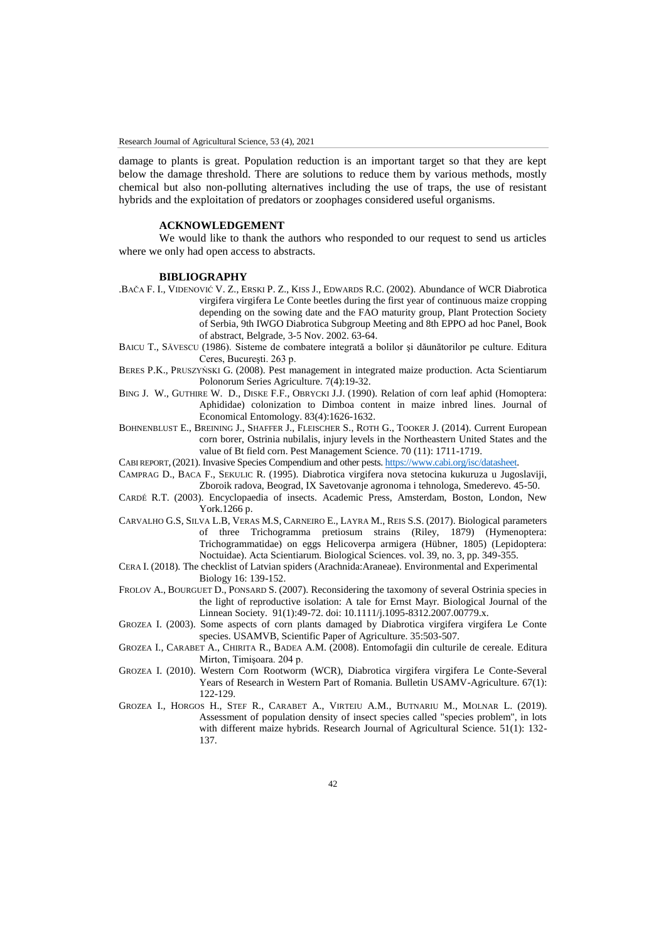damage to plants is great. Population reduction is an important target so that they are kept below the damage threshold. There are solutions to reduce them by various methods, mostly chemical but also non-polluting alternatives including the use of traps, the use of resistant hybrids and the exploitation of predators or zoophages considered useful organisms.

## **ACKNOWLEDGEMENT**

We would like to thank the authors who responded to our request to send us articles where we only had open access to abstracts.

#### **BIBLIOGRAPHY**

- .BAČA F. I., VIDENOVIĆ V. Z., ERSKI P. Z., KISS J., EDWARDS R.C. (2002). Abundance of WCR Diabrotica virgifera virgifera Le Conte beetles during the first year of continuous maize cropping depending on the sowing date and the FAO maturity group, Plant Protection Society of Serbia, 9th IWGO Diabrotica Subgroup Meeting and 8th EPPO ad hoc Panel, Book of abstract, Belgrade, 3-5 Nov. 2002. 63-64.
- BAICU T., SĂVESCU (1986). Sisteme de combatere integrată a bolilor şi dăunătorilor pe culture. Editura Ceres, Bucureşti. 263 p.
- BERES P.K., PRUSZYŃSKI G. (2008). Pest management in integrated maize production. Acta Scientiarum Polonorum Series Agriculture. 7(4):19-32.
- BING J. W., GUTHIRE W. D., DISKE F.F., OBRYCKI J.J. (1990). Relation of corn leaf aphid (Homoptera: Aphididae) colonization to Dimboa content in maize inbred lines. Journal of Economical Entomology. 83(4):1626-1632.
- BOHNENBLUST E., BREINING J., SHAFFER J., FLEISCHER S., ROTH G., TOOKER J. (2014). Current European corn borer, Ostrinia nubilalis, injury levels in the Northeastern United States and the value of Bt field corn. Pest Management Science. 70 (11): 1711-1719.
- CABI REPORT,(2021). Invasive Species Compendium and other pests[. https://www.cabi.org/isc/datasheet.](https://www.cabi.org/isc/datasheet)
- CAMPRAG D., BACA F., SEKULIC R. (1995). Diabrotica virgifera nova stetocina kukuruza u Jugoslaviji, Zboroik radova, Beograd, IX Savetovanje agronoma i tehnologa, Smederevo. 45-50.
- CARDÉ R.T. (2003). Encyclopaedia of insects. Academic Press, Amsterdam, Boston, London, New York.1266 p.
- CARVALHO G.S, SILVA L.B, VERAS M.S, CARNEIRO E., LAYRA M., REIS S.S. (2017). Biological parameters of three Trichogramma pretiosum strains (Riley, 1879) (Hymenoptera: Trichogrammatidae) on eggs Helicoverpa armigera (Hübner, 1805) (Lepidoptera: Noctuidae). Acta Scientiarum. Biological Sciences. vol. 39, no. 3, pp. 349-355.
- CERA I. (2018). The checklist of Latvian spiders (Arachnida:Araneae). Environmental and Experimental Biology 16: 139-152.
- FROLOV A., BOURGUET D., PONSARD S. (2007). Reconsidering the taxomony of several Ostrinia species in the light of reproductive isolation: A tale for Ernst Mayr. Biological Journal of the Linnean Society. 91(1):49-72. doi: 10.1111/j.1095-8312.2007.00779.x.
- GROZEA I. (2003). Some aspects of corn plants damaged by Diabrotica virgifera virgifera Le Conte species. USAMVB, Scientific Paper of Agriculture. 35:503-507.
- GROZEA I., CARABET A., CHIRITA R., BADEA A.M. (2008). Entomofagii din culturile de cereale. Editura Mirton, Timişoara. 204 p.
- GROZEA I. (2010). Western Corn Rootworm (WCR), Diabrotica virgifera virgifera Le Conte-Several Years of Research in Western Part of Romania. Bulletin USAMV-Agriculture. 67(1): 122-129.
- GROZEA I., HORGOS H., STEF R., CARABET A., VIRTEIU A.M., BUTNARIU M., MOLNAR L. (2019). Assessment of population density of insect species called "species problem", in lots with different maize hybrids. Research Journal of Agricultural Science. 51(1): 132-137.